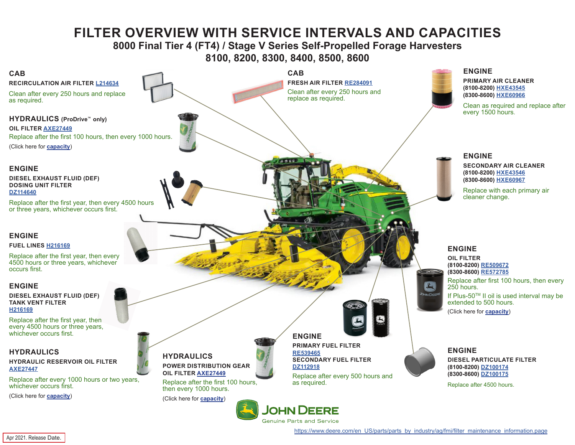# **FILTER OVERVIEW WITH SERVICE INTERVALS AND CAPACITIES**

## **8000 Final Tier 4 (FT4) / Stage V Series Self-Propelled Forage Harvesters 8100, 8200, 8300, 8400, 8500, 8600**

<span id="page-0-0"></span>

[https://www.deere.com/en\\_US/parts/parts\\_by\\_industry/ag/fmi/filter\\_maintenance\\_information.page](https://www.deere.com/en_US/parts/parts_by_industry/ag/fmi/filter_maintenance_information.page)